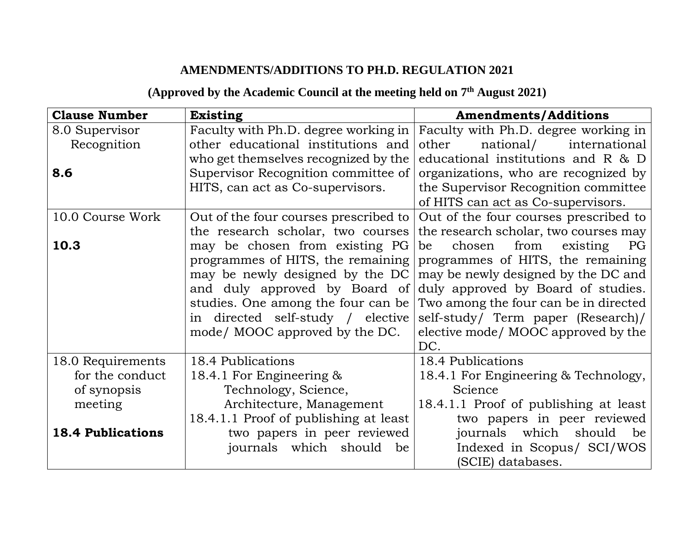## **AMENDMENTS/ADDITIONS TO PH.D. REGULATION 2021**

## **(Approved by the Academic Council at the meeting held on 7 th August 2021)**

| <b>Clause Number</b>     | <b>Existing</b>                       | <b>Amendments/Additions</b>            |
|--------------------------|---------------------------------------|----------------------------------------|
| 8.0 Supervisor           | Faculty with Ph.D. degree working in  | Faculty with Ph.D. degree working in   |
| Recognition              | other educational institutions and    | national/<br>other<br>international    |
|                          | who get themselves recognized by the  | educational institutions and R & D     |
| 8.6                      | Supervisor Recognition committee of   | organizations, who are recognized by   |
|                          | HITS, can act as Co-supervisors.      | the Supervisor Recognition committee   |
|                          |                                       | of HITS can act as Co-supervisors.     |
| 10.0 Course Work         | Out of the four courses prescribed to | Out of the four courses prescribed to  |
|                          | the research scholar, two courses     | the research scholar, two courses may  |
| 10.3                     | may be chosen from existing PG        | chosen<br>from<br>existing<br>PG<br>be |
|                          | programmes of HITS, the remaining     | programmes of HITS, the remaining      |
|                          | may be newly designed by the DC       | may be newly designed by the DC and    |
|                          | and duly approved by Board of         | duly approved by Board of studies.     |
|                          | studies. One among the four can be    | Two among the four can be in directed  |
|                          | in directed self-study / elective     | self-study/ Term paper (Research)/     |
|                          | mode/ MOOC approved by the DC.        | elective mode/MOOC approved by the     |
|                          |                                       | DC.                                    |
| 18.0 Requirements        | 18.4 Publications                     | 18.4 Publications                      |
| for the conduct          | 18.4.1 For Engineering $\&$           | 18.4.1 For Engineering & Technology,   |
| of synopsis              | Technology, Science,                  | Science                                |
| meeting                  | Architecture, Management              | 18.4.1.1 Proof of publishing at least  |
|                          | 18.4.1.1 Proof of publishing at least | two papers in peer reviewed            |
| <b>18.4 Publications</b> | two papers in peer reviewed           | which<br>journals<br>should<br>be      |
|                          | journals which should<br>be           | Indexed in Scopus/ SCI/WOS             |
|                          |                                       | (SCIE) databases.                      |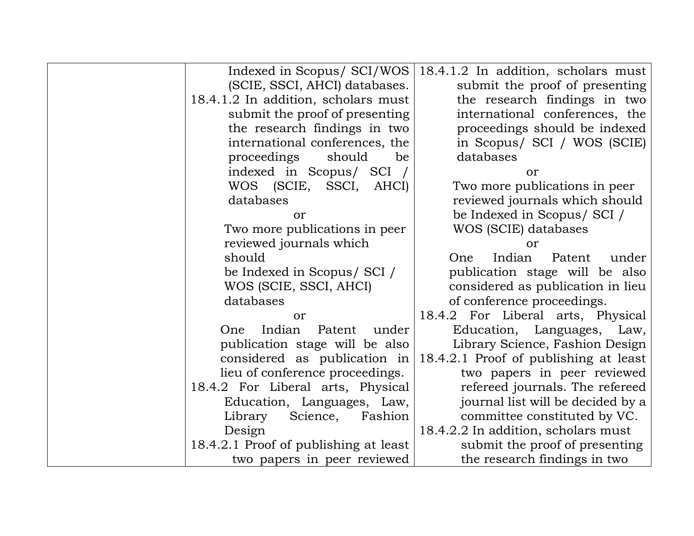| Indexed in Scopus/ SCI/WOS            | 18.4.1.2 In addition, scholars must   |
|---------------------------------------|---------------------------------------|
| (SCIE, SSCI, AHCI) databases.         | submit the proof of presenting        |
| 18.4.1.2 In addition, scholars must   | the research findings in two          |
| submit the proof of presenting        | international conferences, the        |
| the research findings in two          | proceedings should be indexed         |
| international conferences, the        | in Scopus/ SCI / WOS (SCIE)           |
| proceedings<br>should<br>be           | databases                             |
| indexed in Scopus/ SCI                | or                                    |
| WOS (SCIE, SSCI, AHCI)                | Two more publications in peer         |
| databases                             | reviewed journals which should        |
| or                                    | be Indexed in Scopus/ SCI /           |
| Two more publications in peer         | WOS (SCIE) databases                  |
| reviewed journals which               | or                                    |
| should                                | Indian<br>Patent<br>One<br>under      |
| be Indexed in Scopus/ SCI /           | publication stage will be also        |
| WOS (SCIE, SSCI, AHCI)                | considered as publication in lieu     |
| databases                             | of conference proceedings.            |
| or                                    | 18.4.2 For Liberal arts, Physical     |
| Indian<br>Patent<br>under<br>One      | Education, Languages, Law,            |
| publication stage will be also        | Library Science, Fashion Design       |
| considered as publication in          | 18.4.2.1 Proof of publishing at least |
| lieu of conference proceedings.       | two papers in peer reviewed           |
| 18.4.2 For Liberal arts, Physical     | refereed journals. The refereed       |
| Education, Languages, Law,            | journal list will be decided by a     |
| Science,<br>Fashion<br>Library        | committee constituted by VC.          |
| Design                                | 18.4.2.2 In addition, scholars must   |
| 18.4.2.1 Proof of publishing at least | submit the proof of presenting        |
| two papers in peer reviewed           | the research findings in two          |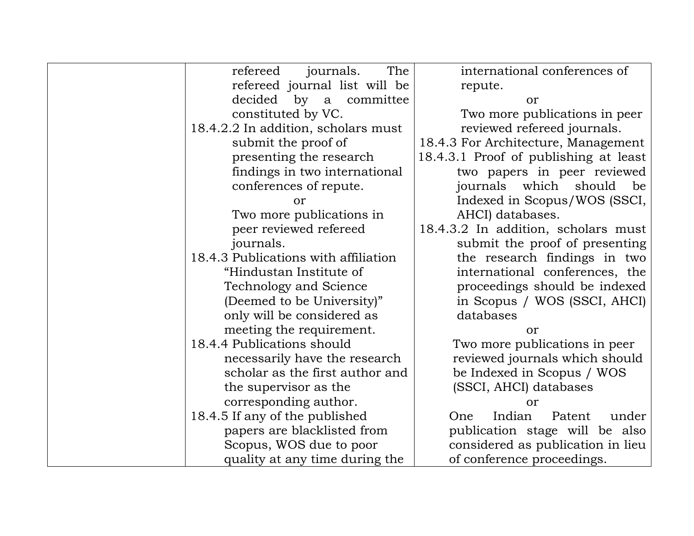| The<br>refereed<br>journals.         | international conferences of          |
|--------------------------------------|---------------------------------------|
| refereed journal list will be        | repute.                               |
| decided by a committee               | or                                    |
| constituted by VC.                   | Two more publications in peer         |
| 18.4.2.2 In addition, scholars must  | reviewed refereed journals.           |
| submit the proof of                  | 18.4.3 For Architecture, Management   |
| presenting the research              | 18.4.3.1 Proof of publishing at least |
| findings in two international        | two papers in peer reviewed           |
| conferences of repute.               | which<br>should<br>journals<br>be     |
| or                                   | Indexed in Scopus/WOS (SSCI,          |
| Two more publications in             | AHCI) databases.                      |
| peer reviewed refereed               | 18.4.3.2 In addition, scholars must   |
| journals.                            | submit the proof of presenting        |
| 18.4.3 Publications with affiliation | the research findings in two          |
| "Hindustan Institute of              | international conferences, the        |
| <b>Technology and Science</b>        | proceedings should be indexed         |
| (Deemed to be University)"           | in Scopus / WOS (SSCI, AHCI)          |
| only will be considered as           | databases                             |
| meeting the requirement.             | or                                    |
| 18.4.4 Publications should           | Two more publications in peer         |
| necessarily have the research        | reviewed journals which should        |
| scholar as the first author and      | be Indexed in Scopus / WOS            |
| the supervisor as the                | (SSCI, AHCI) databases                |
| corresponding author.                | or                                    |
| 18.4.5 If any of the published       | Indian<br>Patent<br>under<br>One      |
| papers are blacklisted from          | publication stage will be also        |
| Scopus, WOS due to poor              | considered as publication in lieu     |
| quality at any time during the       | of conference proceedings.            |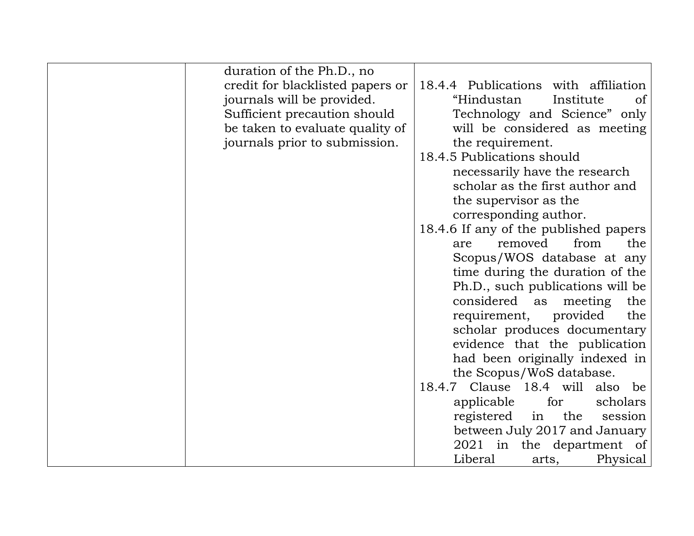| duration of the Ph.D., no        |                                          |
|----------------------------------|------------------------------------------|
| credit for blacklisted papers or | 18.4.4 Publications with affiliation     |
| journals will be provided.       | "Hindustan<br>Institute<br><sub>of</sub> |
| Sufficient precaution should     | Technology and Science" only             |
| be taken to evaluate quality of  | will be considered as meeting            |
| journals prior to submission.    | the requirement.                         |
|                                  | 18.4.5 Publications should               |
|                                  | necessarily have the research            |
|                                  | scholar as the first author and          |
|                                  | the supervisor as the                    |
|                                  | corresponding author.                    |
|                                  | 18.4.6 If any of the published papers    |
|                                  | removed<br>from<br>the<br>are            |
|                                  | Scopus/WOS database at any               |
|                                  | time during the duration of the          |
|                                  | Ph.D., such publications will be         |
|                                  | considered as meeting<br>the             |
|                                  | requirement, provided<br>the             |
|                                  | scholar produces documentary             |
|                                  | evidence that the publication            |
|                                  | had been originally indexed in           |
|                                  | the Scopus/WoS database.                 |
|                                  | 18.4.7 Clause 18.4 will also be          |
|                                  | applicable<br>for<br>scholars            |
|                                  | registered<br>the<br>in<br>session       |
|                                  | between July 2017 and January            |
|                                  | $2021$ in the department of              |
|                                  | Liberal<br>Physical<br>arts,             |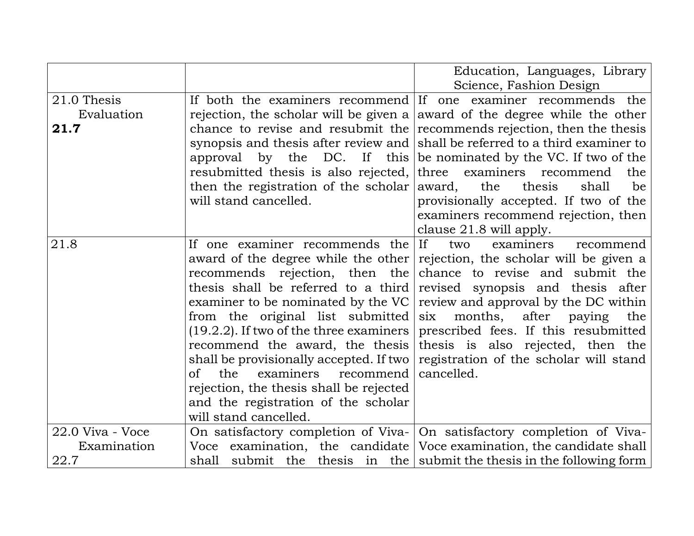|                  |                                            | Education, Languages, Library                                          |
|------------------|--------------------------------------------|------------------------------------------------------------------------|
|                  |                                            | Science, Fashion Design                                                |
| 21.0 Thesis      |                                            | If both the examiners recommend If one examiner recommends the         |
| Evaluation       | rejection, the scholar will be given a     | award of the degree while the other                                    |
| 21.7             | chance to revise and resubmit the          | recommends rejection, then the thesis                                  |
|                  | synopsis and thesis after review and       | shall be referred to a third examiner to                               |
|                  | approval by the DC. If this                | be nominated by the VC. If two of the                                  |
|                  | resubmitted thesis is also rejected,       | examiners<br>three<br>recommend<br>the                                 |
|                  | then the registration of the scholar       | the<br>thesis<br>be<br>award,<br>shall                                 |
|                  | will stand cancelled.                      | provisionally accepted. If two of the                                  |
|                  |                                            | examiners recommend rejection, then                                    |
|                  |                                            | clause 21.8 will apply.                                                |
| 21.8             | If one examiner recommends the             | If<br>examiners<br>two<br>recommend                                    |
|                  | award of the degree while the other        | rejection, the scholar will be given a                                 |
|                  | recommends rejection, then the             | chance to revise and submit the                                        |
|                  | thesis shall be referred to a third        | revised synopsis and thesis after                                      |
|                  | examiner to be nominated by the VC         | review and approval by the DC within                                   |
|                  | from the original list submitted           | months, after paying<br>six<br>the                                     |
|                  | $(19.2.2)$ . If two of the three examiners | prescribed fees. If this resubmitted                                   |
|                  | recommend the award, the thesis            | thesis is also rejected, then the                                      |
|                  | shall be provisionally accepted. If two    | registration of the scholar will stand                                 |
|                  | the<br>examiners<br>of<br>recommend        | cancelled.                                                             |
|                  | rejection, the thesis shall be rejected    |                                                                        |
|                  | and the registration of the scholar        |                                                                        |
|                  | will stand cancelled.                      |                                                                        |
| 22.0 Viva - Voce | On satisfactory completion of Viva-        | On satisfactory completion of Viva-                                    |
| Examination      | Voce examination, the candidate            | Voce examination, the candidate shall                                  |
| 22.7             |                                            | shall submit the thesis in the submit the thesis in the following form |